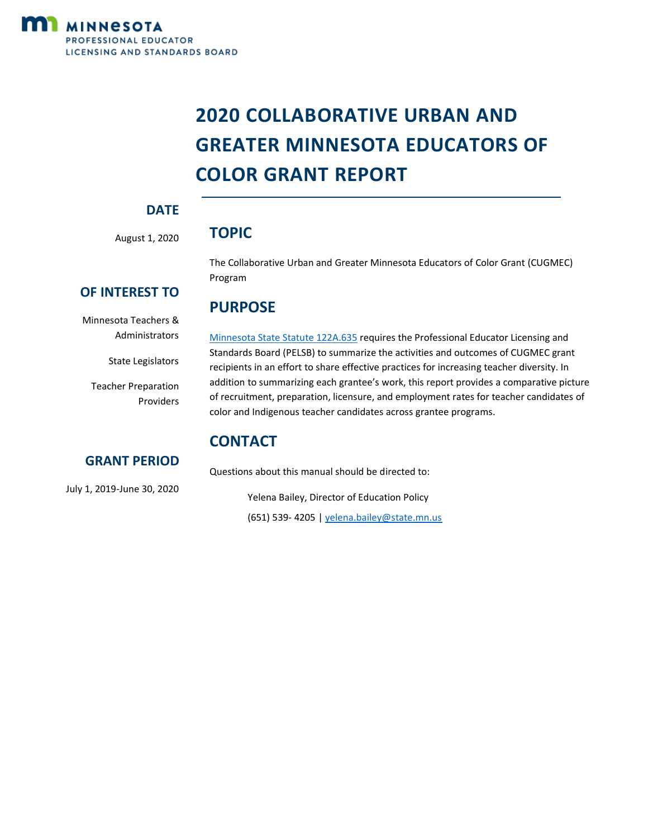

# **2020 COLLABORATIVE URBAN AND GREATER MINNESOTA EDUCATORS OF COLOR GRANT REPORT**

# **DATE**

August 1, 2020

# **TOPIC**

**PURPOSE** 

The Collaborative Urban and Greater Minnesota Educators of Color Grant (CUGMEC) Program

# **OF INTEREST TO**

Minnesota Teachers & Administrators

State Legislators

Teacher Preparation Providers [Minnesota State Statute 122A.635](https://www.revisor.mn.gov/statutes/cite/122A.635) requires the Professional Educator Licensing and Standards Board (PELSB) to summarize the activities and outcomes of CUGMEC grant recipients in an effort to share effective practices for increasing teacher diversity. In addition to summarizing each grantee's work, this report provides a comparative picture of recruitment, preparation, licensure, and employment rates for teacher candidates of color and Indigenous teacher candidates across grantee programs.

# **CONTACT**

Questions about this manual should be directed to:

Yelena Bailey, Director of Education Policy (651) 539- 4205 [| yelena.bailey@state.mn.us](mailto:yelena.bailey@state.mn.us)

# July 1, 2019-June 30, 2020

**GRANT PERIOD**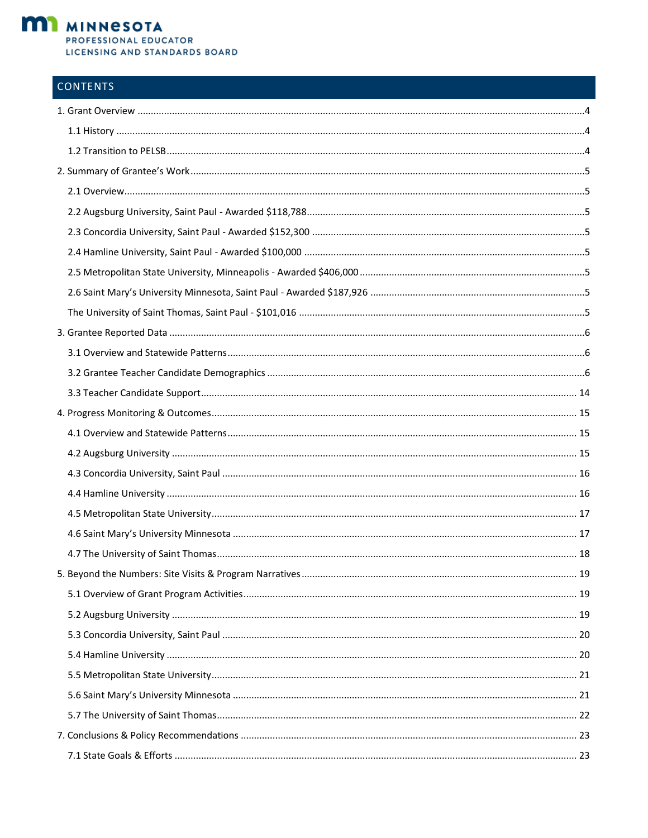

# **CONTENTS**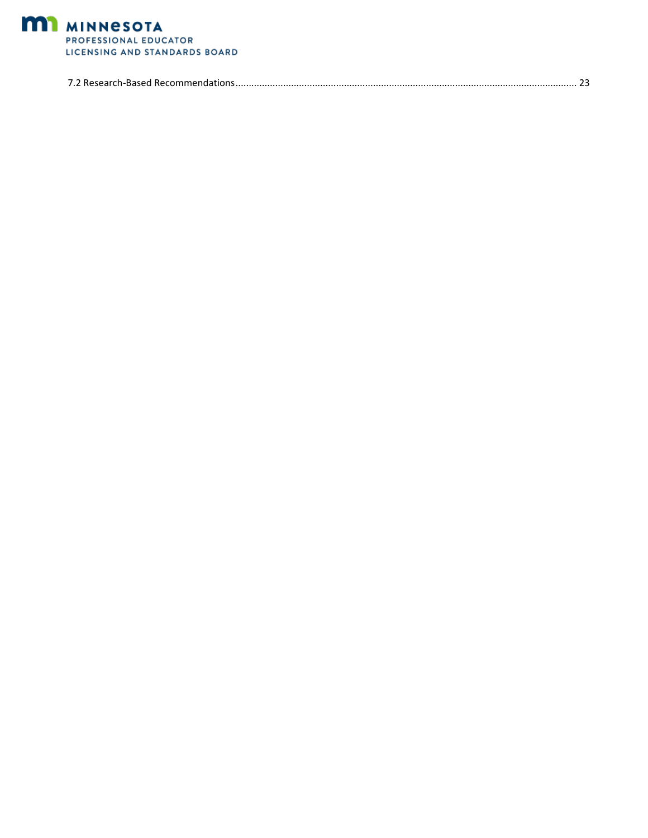

<span id="page-2-0"></span>

|--|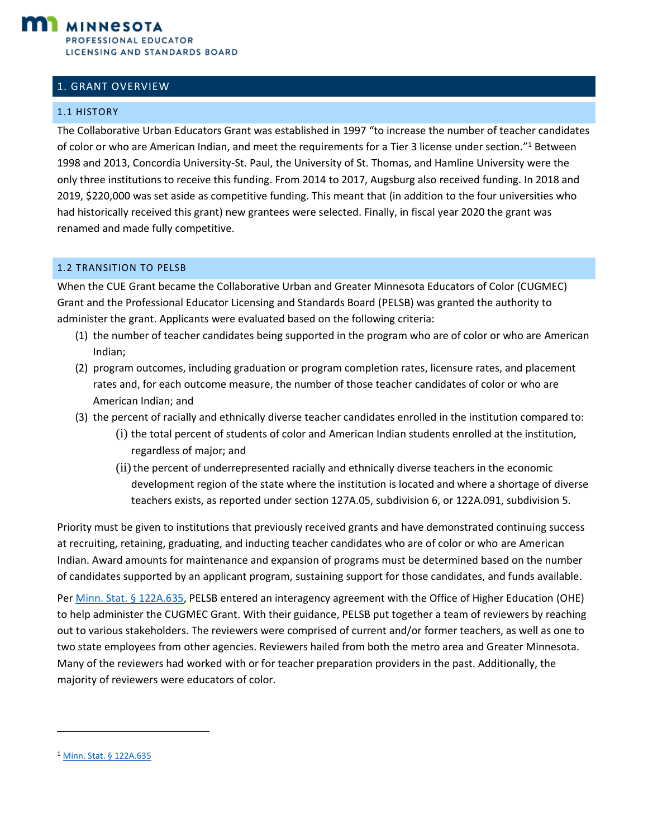

## 1. GRANT OVERVIEW

#### <span id="page-3-0"></span>1.1 HISTORY

The Collaborative Urban Educators Grant was established in 1997 "to increase the number of teacher candidates of color or who are American Indian, and meet the requirements for a Tier 3 license under section."<sup>1</sup> Between 1998 and 2013, Concordia University-St. Paul, the University of St. Thomas, and Hamline University were the only three institutions to receive this funding. From 2014 to 2017, Augsburg also received funding. In 2018 and 2019, \$220,000 was set aside as competitive funding. This meant that (in addition to the four universities who had historically received this grant) new grantees were selected. Finally, in fiscal year 2020 the grant was renamed and made fully competitive.

#### <span id="page-3-1"></span>1.2 TRANSITION TO PELSB

When the CUE Grant became the Collaborative Urban and Greater Minnesota Educators of Color (CUGMEC) Grant and the Professional Educator Licensing and Standards Board (PELSB) was granted the authority to administer the grant. Applicants were evaluated based on the following criteria:

- (1) the number of teacher candidates being supported in the program who are of color or who are American Indian;
- (2) program outcomes, including graduation or program completion rates, licensure rates, and placement rates and, for each outcome measure, the number of those teacher candidates of color or who are American Indian; and
- (3) the percent of racially and ethnically diverse teacher candidates enrolled in the institution compared to:
	- (i) the total percent of students of color and American Indian students enrolled at the institution, regardless of major; and
	- (ii) the percent of underrepresented racially and ethnically diverse teachers in the economic development region of the state where the institution is located and where a shortage of diverse teachers exists, as reported under section 127A.05, subdivision 6, or 122A.091, subdivision 5.

Priority must be given to institutions that previously received grants and have demonstrated continuing success at recruiting, retaining, graduating, and inducting teacher candidates who are of color or who are American Indian. Award amounts for maintenance and expansion of programs must be determined based on the number of candidates supported by an applicant program, sustaining support for those candidates, and funds available.

Pe[r Minn. Stat. § 122A.635,](https://www.revisor.mn.gov/statutes/cite/122A.635) PELSB entered an interagency agreement with the Office of Higher Education (OHE) to help administer the CUGMEC Grant. With their guidance, PELSB put together a team of reviewers by reaching out to various stakeholders. The reviewers were comprised of current and/or former teachers, as well as one to two state employees from other agencies. Reviewers hailed from both the metro area and Greater Minnesota. Many of the reviewers had worked with or for teacher preparation providers in the past. Additionally, the majority of reviewers were educators of color.

<sup>&</sup>lt;sup>1</sup> [Minn. Stat. § 122A.635](https://www.revisor.mn.gov/statutes/cite/122A.635)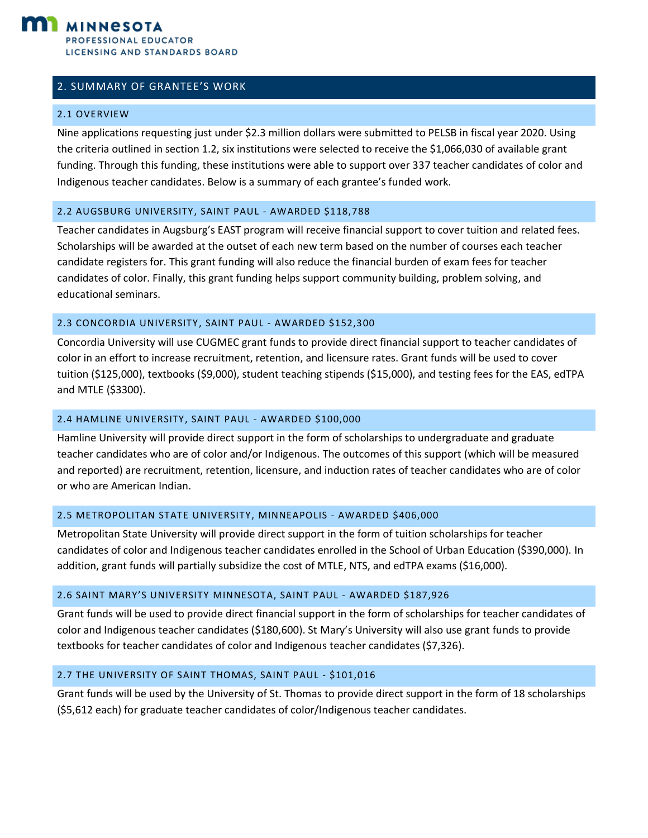

### <span id="page-4-0"></span>2. SUMMARY OF GRANTEE'S WORK

#### <span id="page-4-1"></span>2.1 OVERVIEW

Nine applications requesting just under \$2.3 million dollars were submitted to PELSB in fiscal year 2020. Using the criteria outlined in section 1.2, six institutions were selected to receive the \$1,066,030 of available grant funding. Through this funding, these institutions were able to support over 337 teacher candidates of color and Indigenous teacher candidates. Below is a summary of each grantee's funded work.

#### <span id="page-4-2"></span>2.2 AUGSBURG UNIVERSITY, SAINT PAUL - AWARDED \$118,788

Teacher candidates in Augsburg's EAST program will receive financial support to cover tuition and related fees. Scholarships will be awarded at the outset of each new term based on the number of courses each teacher candidate registers for. This grant funding will also reduce the financial burden of exam fees for teacher candidates of color. Finally, this grant funding helps support community building, problem solving, and educational seminars.

#### <span id="page-4-3"></span>2.3 CONCORDIA UNIVERSITY, SAINT PAUL - AWARDED \$152,300

Concordia University will use CUGMEC grant funds to provide direct financial support to teacher candidates of color in an effort to increase recruitment, retention, and licensure rates. Grant funds will be used to cover tuition (\$125,000), textbooks (\$9,000), student teaching stipends (\$15,000), and testing fees for the EAS, edTPA and MTLE (\$3300).

#### <span id="page-4-4"></span>2.4 HAMLINE UNIVERSITY, SAINT PAUL - AWARDED \$100,000

Hamline University will provide direct support in the form of scholarships to undergraduate and graduate teacher candidates who are of color and/or Indigenous. The outcomes of this support (which will be measured and reported) are recruitment, retention, licensure, and induction rates of teacher candidates who are of color or who are American Indian.

#### <span id="page-4-5"></span>2.5 METROPOLITAN STATE UNIVERSITY, MINNEAPOLIS - AWARDED \$406,000

Metropolitan State University will provide direct support in the form of tuition scholarships for teacher candidates of color and Indigenous teacher candidates enrolled in the School of Urban Education (\$390,000). In addition, grant funds will partially subsidize the cost of MTLE, NTS, and edTPA exams (\$16,000).

#### <span id="page-4-6"></span>2.6 SAINT MARY'S UNIVERSITY MINNESOTA, SAINT PAUL - AWARDED \$187,926

Grant funds will be used to provide direct financial support in the form of scholarships for teacher candidates of color and Indigenous teacher candidates (\$180,600). St Mary's University will also use grant funds to provide textbooks for teacher candidates of color and Indigenous teacher candidates (\$7,326).

#### <span id="page-4-7"></span>2.7 THE UNIVERSITY OF SAINT THOMAS, SAINT PAUL - \$101,016

Grant funds will be used by the University of St. Thomas to provide direct support in the form of 18 scholarships (\$5,612 each) for graduate teacher candidates of color/Indigenous teacher candidates.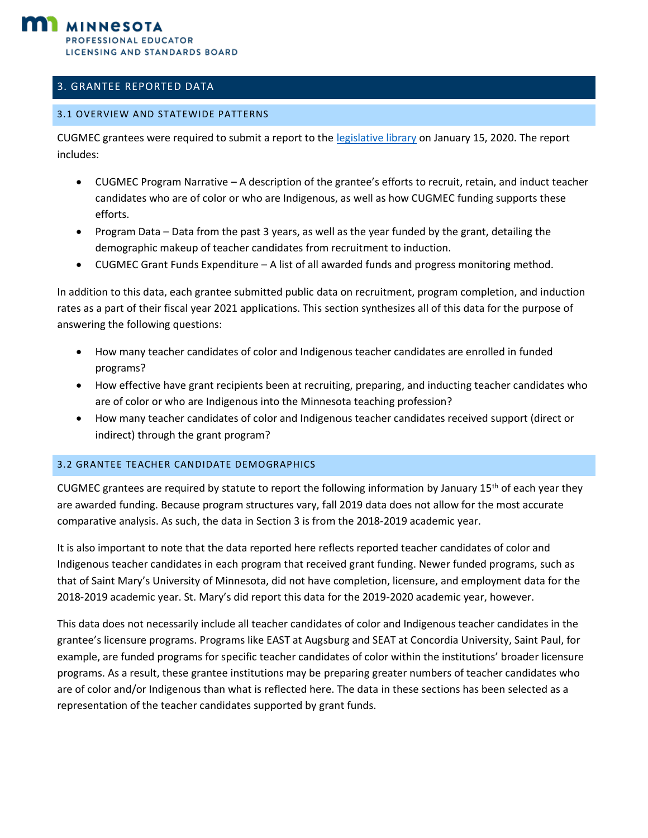## <span id="page-5-0"></span>3. GRANTEE REPORTED DATA

#### <span id="page-5-1"></span>3.1 OVERVIEW AND STATEWIDE PATTERNS

CUGMEC grantees were required to submit a report to the [legislative library](https://www.leg.state.mn.us/edocs/edocs?oclcnumber=1140915962) on January 15, 2020. The report includes:

- CUGMEC Program Narrative A description of the grantee's efforts to recruit, retain, and induct teacher candidates who are of color or who are Indigenous, as well as how CUGMEC funding supports these efforts.
- Program Data Data from the past 3 years, as well as the year funded by the grant, detailing the demographic makeup of teacher candidates from recruitment to induction.
- CUGMEC Grant Funds Expenditure A list of all awarded funds and progress monitoring method.

In addition to this data, each grantee submitted public data on recruitment, program completion, and induction rates as a part of their fiscal year 2021 applications. This section synthesizes all of this data for the purpose of answering the following questions:

- How many teacher candidates of color and Indigenous teacher candidates are enrolled in funded programs?
- How effective have grant recipients been at recruiting, preparing, and inducting teacher candidates who are of color or who are Indigenous into the Minnesota teaching profession?
- How many teacher candidates of color and Indigenous teacher candidates received support (direct or indirect) through the grant program?

#### <span id="page-5-2"></span>3.2 GRANTEE TEACHER CANDIDATE DEMOGRAPHICS

CUGMEC grantees are required by statute to report the following information by January  $15<sup>th</sup>$  of each year they are awarded funding. Because program structures vary, fall 2019 data does not allow for the most accurate comparative analysis. As such, the data in Section 3 is from the 2018-2019 academic year.

It is also important to note that the data reported here reflects reported teacher candidates of color and Indigenous teacher candidates in each program that received grant funding. Newer funded programs, such as that of Saint Mary's University of Minnesota, did not have completion, licensure, and employment data for the 2018-2019 academic year. St. Mary's did report this data for the 2019-2020 academic year, however.

This data does not necessarily include all teacher candidates of color and Indigenous teacher candidates in the grantee's licensure programs. Programs like EAST at Augsburg and SEAT at Concordia University, Saint Paul, for example, are funded programs for specific teacher candidates of color within the institutions' broader licensure programs. As a result, these grantee institutions may be preparing greater numbers of teacher candidates who are of color and/or Indigenous than what is reflected here. The data in these sections has been selected as a representation of the teacher candidates supported by grant funds.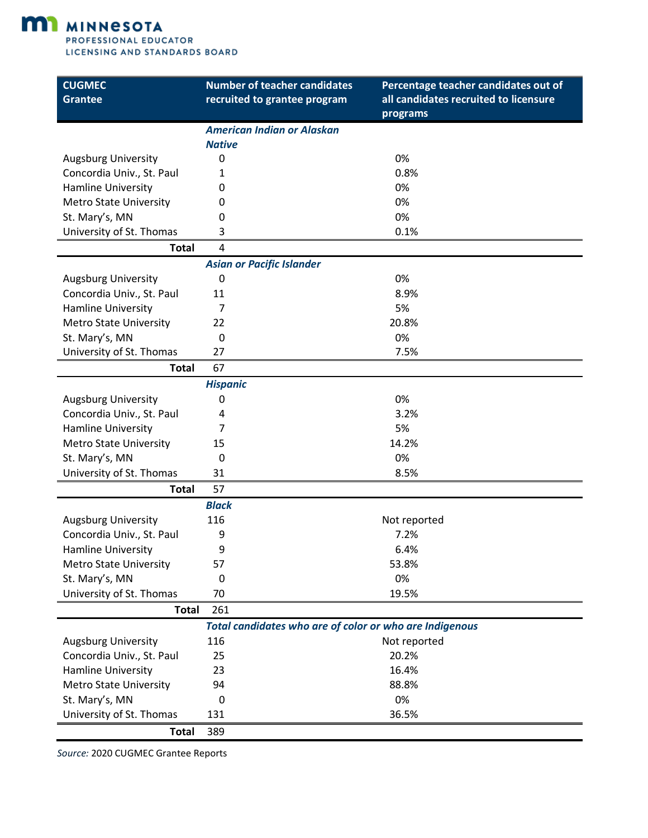**M1** MINNESOTA

PROFESSIONAL EDUCATOR LICENSING AND STANDARDS BOARD

| <b>CUGMEC</b><br><b>Grantee</b> | <b>Number of teacher candidates</b><br>recruited to grantee program | Percentage teacher candidates out of<br>all candidates recruited to licensure |
|---------------------------------|---------------------------------------------------------------------|-------------------------------------------------------------------------------|
|                                 |                                                                     | programs                                                                      |
|                                 | <b>American Indian or Alaskan</b>                                   |                                                                               |
|                                 | <b>Native</b>                                                       |                                                                               |
| <b>Augsburg University</b>      | 0                                                                   | 0%                                                                            |
| Concordia Univ., St. Paul       | 1                                                                   | 0.8%                                                                          |
| Hamline University              | 0                                                                   | 0%                                                                            |
| <b>Metro State University</b>   | 0                                                                   | 0%                                                                            |
| St. Mary's, MN                  | 0                                                                   | 0%                                                                            |
| University of St. Thomas        | 3                                                                   | 0.1%                                                                          |
| <b>Total</b>                    | 4                                                                   |                                                                               |
|                                 | <b>Asian or Pacific Islander</b>                                    |                                                                               |
| <b>Augsburg University</b>      | 0                                                                   | 0%                                                                            |
| Concordia Univ., St. Paul       | 11                                                                  | 8.9%                                                                          |
| Hamline University              | 7                                                                   | 5%                                                                            |
| <b>Metro State University</b>   | 22                                                                  | 20.8%                                                                         |
| St. Mary's, MN                  | $\mathbf 0$                                                         | 0%                                                                            |
| University of St. Thomas        | 27                                                                  | 7.5%                                                                          |
| <b>Total</b>                    | 67                                                                  |                                                                               |
|                                 | <b>Hispanic</b>                                                     |                                                                               |
| <b>Augsburg University</b>      | 0                                                                   | 0%                                                                            |
| Concordia Univ., St. Paul       | 4                                                                   | 3.2%                                                                          |
| Hamline University              | 7                                                                   | 5%                                                                            |
| <b>Metro State University</b>   | 15                                                                  | 14.2%                                                                         |
| St. Mary's, MN                  | 0                                                                   | 0%                                                                            |
| University of St. Thomas        | 31                                                                  | 8.5%                                                                          |
| <b>Total</b>                    | 57                                                                  |                                                                               |
|                                 | <b>Black</b>                                                        |                                                                               |
| <b>Augsburg University</b>      | 116                                                                 | Not reported                                                                  |
| Concordia Univ., St. Paul       | 9                                                                   | 7.2%                                                                          |
| Hamline University              | 9                                                                   | 6.4%                                                                          |
| <b>Metro State University</b>   | 57                                                                  | 53.8%                                                                         |
| St. Mary's, MN                  | 0                                                                   | 0%                                                                            |
| University of St. Thomas        | 70                                                                  | 19.5%                                                                         |
| <b>Total</b>                    | 261                                                                 |                                                                               |
|                                 | Total candidates who are of color or who are Indigenous             |                                                                               |
| <b>Augsburg University</b>      | 116                                                                 | Not reported                                                                  |
| Concordia Univ., St. Paul       | 25                                                                  | 20.2%                                                                         |
| Hamline University              | 23                                                                  | 16.4%                                                                         |
| <b>Metro State University</b>   | 94                                                                  | 88.8%                                                                         |
| St. Mary's, MN                  | 0                                                                   | 0%                                                                            |
| University of St. Thomas        | 131                                                                 | 36.5%                                                                         |
| <b>Total</b>                    | 389                                                                 |                                                                               |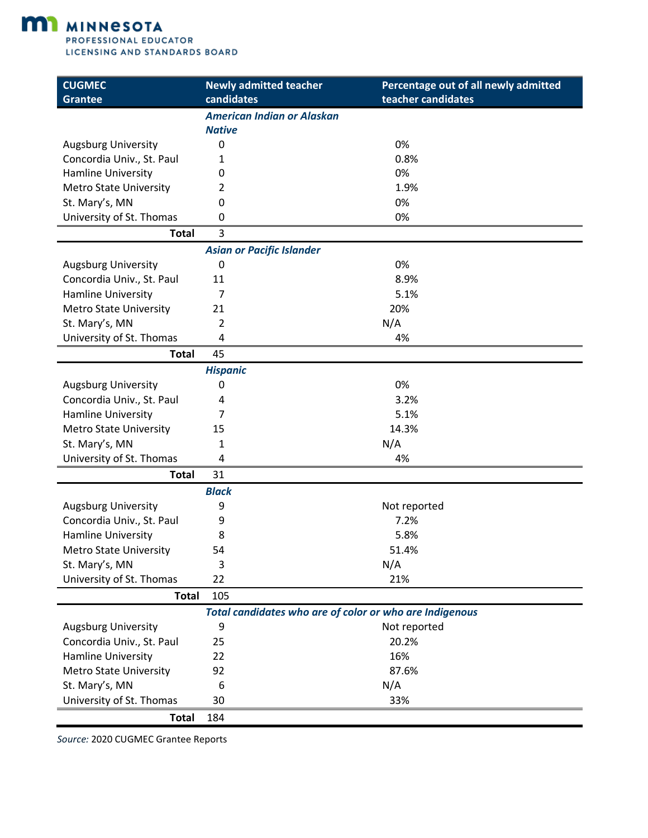

| <b>American Indian or Alaskan</b><br><b>Native</b><br>$\mathbf 0$<br>0%<br><b>Augsburg University</b><br>Concordia Univ., St. Paul<br>0.8%<br>1<br>0%<br><b>Hamline University</b><br>0<br>1.9%<br><b>Metro State University</b><br>2<br>St. Mary's, MN<br>0%<br>0<br>University of St. Thomas<br>0%<br>0<br>3<br><b>Total</b><br><b>Asian or Pacific Islander</b><br>0%<br><b>Augsburg University</b><br>0<br>Concordia Univ., St. Paul<br>8.9%<br>11<br>Hamline University<br>5.1%<br>7 | <b>CUGMEC</b><br><b>Grantee</b> | <b>Newly admitted teacher</b><br>candidates | Percentage out of all newly admitted<br>teacher candidates |
|-------------------------------------------------------------------------------------------------------------------------------------------------------------------------------------------------------------------------------------------------------------------------------------------------------------------------------------------------------------------------------------------------------------------------------------------------------------------------------------------|---------------------------------|---------------------------------------------|------------------------------------------------------------|
|                                                                                                                                                                                                                                                                                                                                                                                                                                                                                           |                                 |                                             |                                                            |
|                                                                                                                                                                                                                                                                                                                                                                                                                                                                                           |                                 |                                             |                                                            |
|                                                                                                                                                                                                                                                                                                                                                                                                                                                                                           |                                 |                                             |                                                            |
|                                                                                                                                                                                                                                                                                                                                                                                                                                                                                           |                                 |                                             |                                                            |
|                                                                                                                                                                                                                                                                                                                                                                                                                                                                                           |                                 |                                             |                                                            |
|                                                                                                                                                                                                                                                                                                                                                                                                                                                                                           |                                 |                                             |                                                            |
|                                                                                                                                                                                                                                                                                                                                                                                                                                                                                           |                                 |                                             |                                                            |
|                                                                                                                                                                                                                                                                                                                                                                                                                                                                                           |                                 |                                             |                                                            |
|                                                                                                                                                                                                                                                                                                                                                                                                                                                                                           |                                 |                                             |                                                            |
|                                                                                                                                                                                                                                                                                                                                                                                                                                                                                           |                                 |                                             |                                                            |
|                                                                                                                                                                                                                                                                                                                                                                                                                                                                                           |                                 |                                             |                                                            |
|                                                                                                                                                                                                                                                                                                                                                                                                                                                                                           |                                 |                                             |                                                            |
|                                                                                                                                                                                                                                                                                                                                                                                                                                                                                           |                                 |                                             |                                                            |
|                                                                                                                                                                                                                                                                                                                                                                                                                                                                                           | <b>Metro State University</b>   | 21                                          | 20%                                                        |
| St. Mary's, MN<br>N/A<br>2                                                                                                                                                                                                                                                                                                                                                                                                                                                                |                                 |                                             |                                                            |
| University of St. Thomas<br>4<br>4%                                                                                                                                                                                                                                                                                                                                                                                                                                                       |                                 |                                             |                                                            |
| 45<br><b>Total</b>                                                                                                                                                                                                                                                                                                                                                                                                                                                                        |                                 |                                             |                                                            |
| <b>Hispanic</b>                                                                                                                                                                                                                                                                                                                                                                                                                                                                           |                                 |                                             |                                                            |
| 0%<br><b>Augsburg University</b><br>0                                                                                                                                                                                                                                                                                                                                                                                                                                                     |                                 |                                             |                                                            |
| Concordia Univ., St. Paul<br>3.2%<br>4                                                                                                                                                                                                                                                                                                                                                                                                                                                    |                                 |                                             |                                                            |
| Hamline University<br>5.1%<br>7                                                                                                                                                                                                                                                                                                                                                                                                                                                           |                                 |                                             |                                                            |
| 14.3%<br><b>Metro State University</b><br>15                                                                                                                                                                                                                                                                                                                                                                                                                                              |                                 |                                             |                                                            |
| N/A<br>St. Mary's, MN<br>1                                                                                                                                                                                                                                                                                                                                                                                                                                                                |                                 |                                             |                                                            |
| University of St. Thomas<br>4<br>4%                                                                                                                                                                                                                                                                                                                                                                                                                                                       |                                 |                                             |                                                            |
| 31<br><b>Total</b>                                                                                                                                                                                                                                                                                                                                                                                                                                                                        |                                 |                                             |                                                            |
| <b>Black</b>                                                                                                                                                                                                                                                                                                                                                                                                                                                                              |                                 |                                             |                                                            |
| <b>Augsburg University</b><br>9<br>Not reported                                                                                                                                                                                                                                                                                                                                                                                                                                           |                                 |                                             |                                                            |
| Concordia Univ., St. Paul<br>7.2%<br>9                                                                                                                                                                                                                                                                                                                                                                                                                                                    |                                 |                                             |                                                            |
| Hamline University<br>5.8%<br>8                                                                                                                                                                                                                                                                                                                                                                                                                                                           |                                 |                                             |                                                            |
| 54<br>51.4%<br><b>Metro State University</b>                                                                                                                                                                                                                                                                                                                                                                                                                                              |                                 |                                             |                                                            |
| 3<br>N/A<br>St. Mary's, MN                                                                                                                                                                                                                                                                                                                                                                                                                                                                |                                 |                                             |                                                            |
| 22<br>University of St. Thomas<br>21%                                                                                                                                                                                                                                                                                                                                                                                                                                                     |                                 |                                             |                                                            |
| 105<br><b>Total</b>                                                                                                                                                                                                                                                                                                                                                                                                                                                                       |                                 |                                             |                                                            |
| Total candidates who are of color or who are Indigenous                                                                                                                                                                                                                                                                                                                                                                                                                                   |                                 |                                             |                                                            |
| <b>Augsburg University</b><br>Not reported<br>9                                                                                                                                                                                                                                                                                                                                                                                                                                           |                                 |                                             |                                                            |
| Concordia Univ., St. Paul<br>20.2%<br>25                                                                                                                                                                                                                                                                                                                                                                                                                                                  |                                 |                                             |                                                            |
| Hamline University<br>16%<br>22                                                                                                                                                                                                                                                                                                                                                                                                                                                           |                                 |                                             |                                                            |
| 92<br>87.6%<br><b>Metro State University</b>                                                                                                                                                                                                                                                                                                                                                                                                                                              |                                 |                                             |                                                            |
| N/A<br>St. Mary's, MN<br>6                                                                                                                                                                                                                                                                                                                                                                                                                                                                |                                 |                                             |                                                            |
| University of St. Thomas<br>30<br>33%                                                                                                                                                                                                                                                                                                                                                                                                                                                     |                                 |                                             |                                                            |
| <b>Total</b><br>184                                                                                                                                                                                                                                                                                                                                                                                                                                                                       |                                 |                                             |                                                            |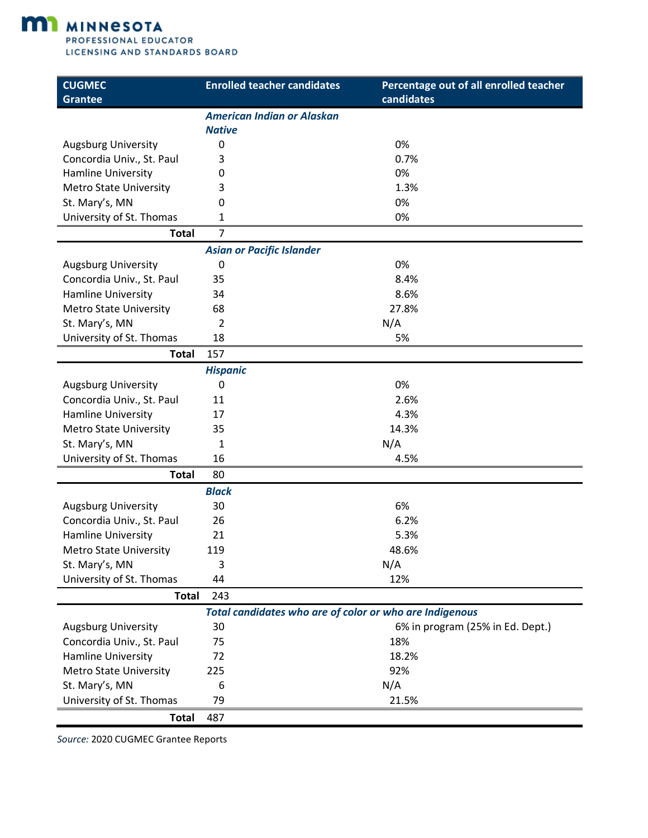

| <b>CUGMEC</b><br><b>Grantee</b> | <b>Enrolled teacher candidates</b>                      | Percentage out of all enrolled teacher<br>candidates |
|---------------------------------|---------------------------------------------------------|------------------------------------------------------|
|                                 | <b>American Indian or Alaskan</b>                       |                                                      |
|                                 | <b>Native</b>                                           |                                                      |
| <b>Augsburg University</b>      | 0                                                       | 0%                                                   |
| Concordia Univ., St. Paul       | 3                                                       | 0.7%                                                 |
| Hamline University              | 0                                                       | 0%                                                   |
| <b>Metro State University</b>   | 3                                                       | 1.3%                                                 |
| St. Mary's, MN                  | 0                                                       | 0%                                                   |
| University of St. Thomas        | 1                                                       | 0%                                                   |
| <b>Total</b>                    | 7                                                       |                                                      |
|                                 | <b>Asian or Pacific Islander</b>                        |                                                      |
| <b>Augsburg University</b>      | 0                                                       | 0%                                                   |
| Concordia Univ., St. Paul       | 35                                                      | 8.4%                                                 |
| Hamline University              | 34                                                      | 8.6%                                                 |
| <b>Metro State University</b>   | 68                                                      | 27.8%                                                |
| St. Mary's, MN                  | $\overline{2}$                                          | N/A                                                  |
| University of St. Thomas        | 18                                                      | 5%                                                   |
| <b>Total</b>                    | 157                                                     |                                                      |
|                                 | <b>Hispanic</b>                                         |                                                      |
| <b>Augsburg University</b>      | 0                                                       | 0%                                                   |
| Concordia Univ., St. Paul       | 11                                                      | 2.6%                                                 |
| Hamline University              | 17                                                      | 4.3%                                                 |
| <b>Metro State University</b>   | 35                                                      | 14.3%                                                |
| St. Mary's, MN                  | $\mathbf{1}$                                            | N/A                                                  |
| University of St. Thomas        | 16                                                      | 4.5%                                                 |
| <b>Total</b>                    | 80                                                      |                                                      |
|                                 | <b>Black</b>                                            |                                                      |
| <b>Augsburg University</b>      | 30                                                      | 6%                                                   |
| Concordia Univ., St. Paul       | 26                                                      | 6.2%                                                 |
| Hamline University              | 21                                                      | 5.3%                                                 |
| <b>Metro State University</b>   | 119                                                     | 48.6%                                                |
| St. Mary's, MN                  | 3                                                       | N/A                                                  |
| University of St. Thomas        | 44                                                      | 12%                                                  |
| <b>Total</b>                    | 243                                                     |                                                      |
|                                 | Total candidates who are of color or who are Indigenous |                                                      |
| <b>Augsburg University</b>      | 30                                                      | 6% in program (25% in Ed. Dept.)                     |
| Concordia Univ., St. Paul       | 75                                                      | 18%                                                  |
| Hamline University              | 72                                                      | 18.2%                                                |
| <b>Metro State University</b>   | 225                                                     | 92%                                                  |
| St. Mary's, MN                  | 6                                                       | N/A                                                  |
| University of St. Thomas        | 79                                                      | 21.5%                                                |
| <b>Total</b>                    | 487                                                     |                                                      |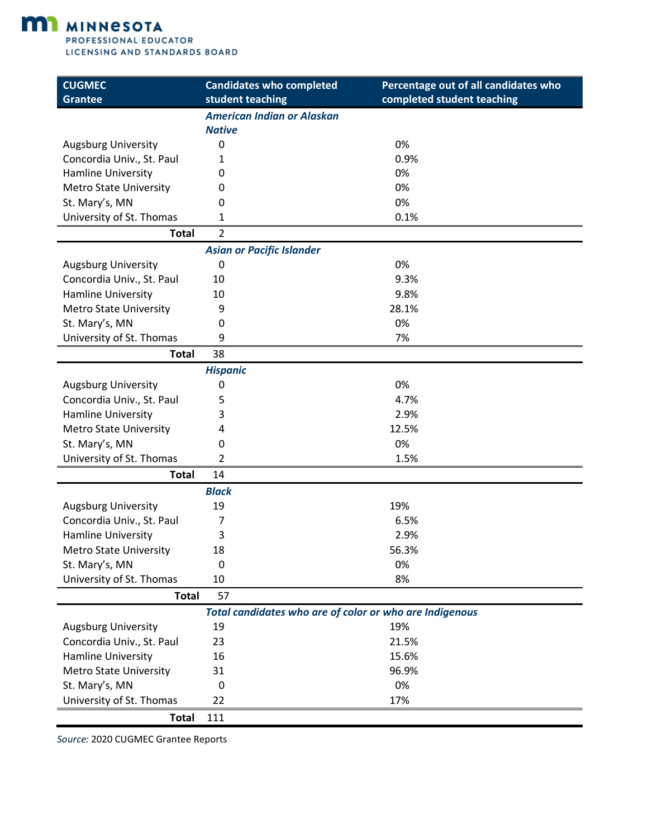

| <b>CUGMEC</b><br><b>Grantee</b> | <b>Candidates who completed</b><br>student teaching     | Percentage out of all candidates who<br>completed student teaching |
|---------------------------------|---------------------------------------------------------|--------------------------------------------------------------------|
|                                 | <b>American Indian or Alaskan</b>                       |                                                                    |
|                                 | <b>Native</b>                                           |                                                                    |
| <b>Augsburg University</b>      | $\mathbf 0$                                             | 0%                                                                 |
| Concordia Univ., St. Paul       | 1                                                       | 0.9%                                                               |
| <b>Hamline University</b>       | 0                                                       | 0%                                                                 |
| <b>Metro State University</b>   | 0                                                       | 0%                                                                 |
| St. Mary's, MN                  | 0                                                       | 0%                                                                 |
| University of St. Thomas        | 1                                                       | 0.1%                                                               |
| <b>Total</b>                    | $\overline{2}$                                          |                                                                    |
|                                 | <b>Asian or Pacific Islander</b>                        |                                                                    |
| <b>Augsburg University</b>      | 0                                                       | 0%                                                                 |
| Concordia Univ., St. Paul       | 10                                                      | 9.3%                                                               |
| <b>Hamline University</b>       | 10                                                      | 9.8%                                                               |
| <b>Metro State University</b>   | 9                                                       | 28.1%                                                              |
| St. Mary's, MN                  | 0                                                       | 0%                                                                 |
| University of St. Thomas        | 9                                                       | 7%                                                                 |
| <b>Total</b>                    | 38                                                      |                                                                    |
|                                 | <b>Hispanic</b>                                         |                                                                    |
| <b>Augsburg University</b>      | 0                                                       | 0%                                                                 |
| Concordia Univ., St. Paul       | 5                                                       | 4.7%                                                               |
| Hamline University              | 3                                                       | 2.9%                                                               |
| <b>Metro State University</b>   | 4                                                       | 12.5%                                                              |
| St. Mary's, MN                  | 0                                                       | 0%                                                                 |
| University of St. Thomas        | 2                                                       | 1.5%                                                               |
| <b>Total</b>                    | 14                                                      |                                                                    |
|                                 | <b>Black</b>                                            |                                                                    |
| <b>Augsburg University</b>      | 19                                                      | 19%                                                                |
| Concordia Univ., St. Paul       | 7                                                       | 6.5%                                                               |
| Hamline University              | 3                                                       | 2.9%                                                               |
| <b>Metro State University</b>   | 18                                                      | 56.3%                                                              |
| St. Mary's, MN                  | 0                                                       | 0%                                                                 |
| University of St. Thomas        | 10                                                      | 8%                                                                 |
| <b>Total</b>                    | 57                                                      |                                                                    |
|                                 | Total candidates who are of color or who are Indigenous |                                                                    |
| <b>Augsburg University</b>      | 19                                                      | 19%                                                                |
| Concordia Univ., St. Paul       | 23                                                      | 21.5%                                                              |
| Hamline University              | 16                                                      | 15.6%                                                              |
| <b>Metro State University</b>   | 31                                                      | 96.9%                                                              |
| St. Mary's, MN                  | 0                                                       | 0%                                                                 |
| University of St. Thomas        | 22                                                      | 17%                                                                |
| <b>Total</b>                    | 111                                                     |                                                                    |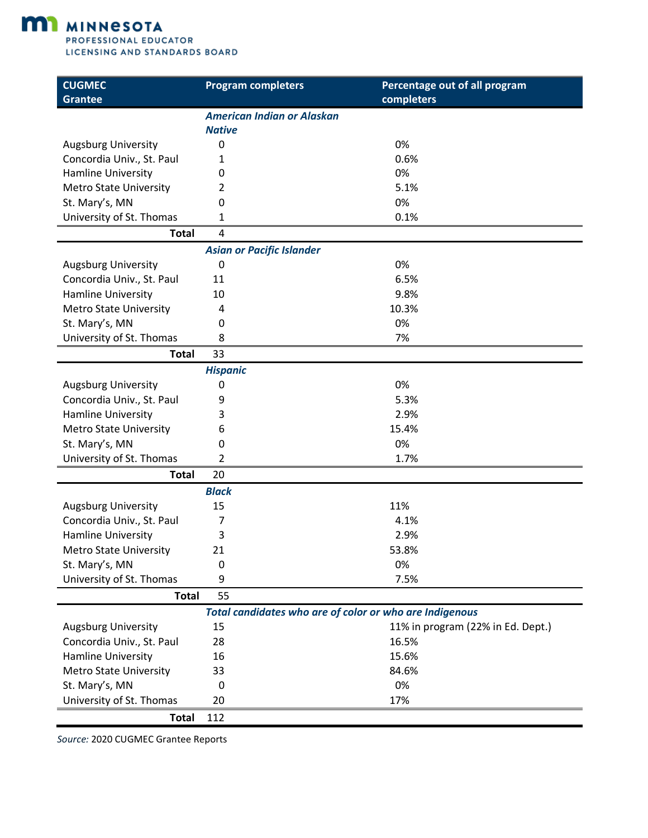

| <b>CUGMEC</b><br><b>Grantee</b> | <b>Program completers</b>                               | Percentage out of all program<br>completers |
|---------------------------------|---------------------------------------------------------|---------------------------------------------|
|                                 | <b>American Indian or Alaskan</b>                       |                                             |
|                                 | <b>Native</b>                                           |                                             |
| <b>Augsburg University</b>      | 0                                                       | 0%                                          |
| Concordia Univ., St. Paul       | 1                                                       | 0.6%                                        |
| Hamline University              | 0                                                       | 0%                                          |
| <b>Metro State University</b>   | 2                                                       | 5.1%                                        |
| St. Mary's, MN                  | $\Omega$                                                | 0%                                          |
| University of St. Thomas        | 1                                                       | 0.1%                                        |
| <b>Total</b>                    | 4                                                       |                                             |
|                                 | <b>Asian or Pacific Islander</b>                        |                                             |
| <b>Augsburg University</b>      | 0                                                       | 0%                                          |
| Concordia Univ., St. Paul       | 11                                                      | 6.5%                                        |
| <b>Hamline University</b>       | 10                                                      | 9.8%                                        |
| <b>Metro State University</b>   | 4                                                       | 10.3%                                       |
| St. Mary's, MN                  | 0                                                       | 0%                                          |
| University of St. Thomas        | 8                                                       | 7%                                          |
| <b>Total</b>                    | 33                                                      |                                             |
|                                 | <b>Hispanic</b>                                         |                                             |
| <b>Augsburg University</b>      | 0                                                       | 0%                                          |
| Concordia Univ., St. Paul       | 9                                                       | 5.3%                                        |
| Hamline University              | 3                                                       | 2.9%                                        |
| <b>Metro State University</b>   | 6                                                       | 15.4%                                       |
| St. Mary's, MN                  | 0                                                       | 0%                                          |
| University of St. Thomas        | 2                                                       | 1.7%                                        |
| <b>Total</b>                    | 20                                                      |                                             |
|                                 | <b>Black</b>                                            |                                             |
| <b>Augsburg University</b>      | 15                                                      | 11%                                         |
| Concordia Univ., St. Paul       | 7                                                       | 4.1%                                        |
| Hamline University              | 3                                                       | 2.9%                                        |
| <b>Metro State University</b>   | 21                                                      | 53.8%                                       |
| St. Mary's, MN                  | 0                                                       | 0%                                          |
| University of St. Thomas        | 9                                                       | 7.5%                                        |
| <b>Total</b>                    | 55                                                      |                                             |
|                                 | Total candidates who are of color or who are Indigenous |                                             |
| <b>Augsburg University</b>      | 15                                                      | 11% in program (22% in Ed. Dept.)           |
| Concordia Univ., St. Paul       | 28                                                      | 16.5%                                       |
| Hamline University              | 16                                                      | 15.6%                                       |
| <b>Metro State University</b>   | 33                                                      | 84.6%                                       |
| St. Mary's, MN                  | 0                                                       | 0%                                          |
| University of St. Thomas        | 20                                                      | 17%                                         |
| <b>Total</b>                    | 112                                                     |                                             |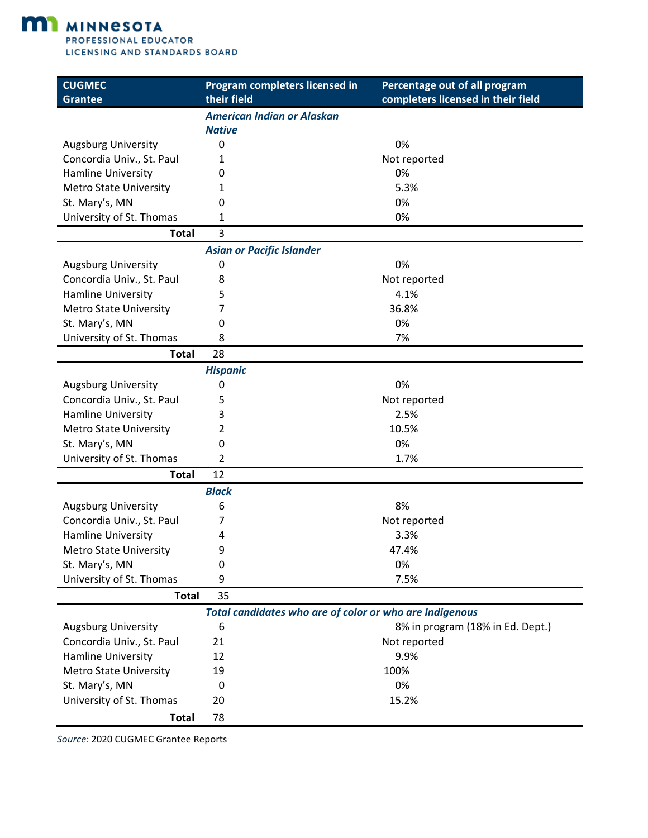

| <b>CUGMEC</b><br><b>Grantee</b> | Program completers licensed in<br>their field           | Percentage out of all program<br>completers licensed in their field |
|---------------------------------|---------------------------------------------------------|---------------------------------------------------------------------|
|                                 | <b>American Indian or Alaskan</b>                       |                                                                     |
|                                 | <b>Native</b>                                           |                                                                     |
| <b>Augsburg University</b>      | 0                                                       | 0%                                                                  |
| Concordia Univ., St. Paul       | 1                                                       | Not reported                                                        |
| Hamline University              | 0                                                       | 0%                                                                  |
| <b>Metro State University</b>   | 1                                                       | 5.3%                                                                |
| St. Mary's, MN                  | 0                                                       | 0%                                                                  |
| University of St. Thomas        | 1                                                       | 0%                                                                  |
| <b>Total</b>                    | 3                                                       |                                                                     |
|                                 | <b>Asian or Pacific Islander</b>                        |                                                                     |
| <b>Augsburg University</b>      | 0                                                       | 0%                                                                  |
| Concordia Univ., St. Paul       | 8                                                       | Not reported                                                        |
| Hamline University              | 5                                                       | 4.1%                                                                |
| <b>Metro State University</b>   | 7                                                       | 36.8%                                                               |
| St. Mary's, MN                  | 0                                                       | 0%                                                                  |
| University of St. Thomas        | 8                                                       | 7%                                                                  |
| <b>Total</b>                    | 28                                                      |                                                                     |
|                                 | <b>Hispanic</b>                                         |                                                                     |
| <b>Augsburg University</b>      | 0                                                       | 0%                                                                  |
| Concordia Univ., St. Paul       | 5                                                       | Not reported                                                        |
| Hamline University              | 3                                                       | 2.5%                                                                |
| <b>Metro State University</b>   | 2                                                       | 10.5%                                                               |
| St. Mary's, MN                  | 0                                                       | 0%                                                                  |
| University of St. Thomas        | 2                                                       | 1.7%                                                                |
| <b>Total</b>                    | 12                                                      |                                                                     |
|                                 | <b>Black</b>                                            |                                                                     |
| <b>Augsburg University</b>      | 6                                                       | 8%                                                                  |
| Concordia Univ., St. Paul       | 7                                                       | Not reported                                                        |
| Hamline University              | 4                                                       | 3.3%                                                                |
| <b>Metro State University</b>   | 9                                                       | 47.4%                                                               |
| St. Mary's, MN                  | 0                                                       | 0%                                                                  |
| University of St. Thomas        | 9                                                       | 7.5%                                                                |
| <b>Total</b>                    | 35                                                      |                                                                     |
|                                 | Total candidates who are of color or who are Indigenous |                                                                     |
| <b>Augsburg University</b>      | 6                                                       | 8% in program (18% in Ed. Dept.)                                    |
| Concordia Univ., St. Paul       | 21                                                      | Not reported                                                        |
| Hamline University              | 12                                                      | 9.9%                                                                |
| <b>Metro State University</b>   | 19                                                      | 100%                                                                |
| St. Mary's, MN                  | 0                                                       | 0%                                                                  |
| University of St. Thomas        | 20                                                      | 15.2%                                                               |
| <b>Total</b>                    | 78                                                      |                                                                     |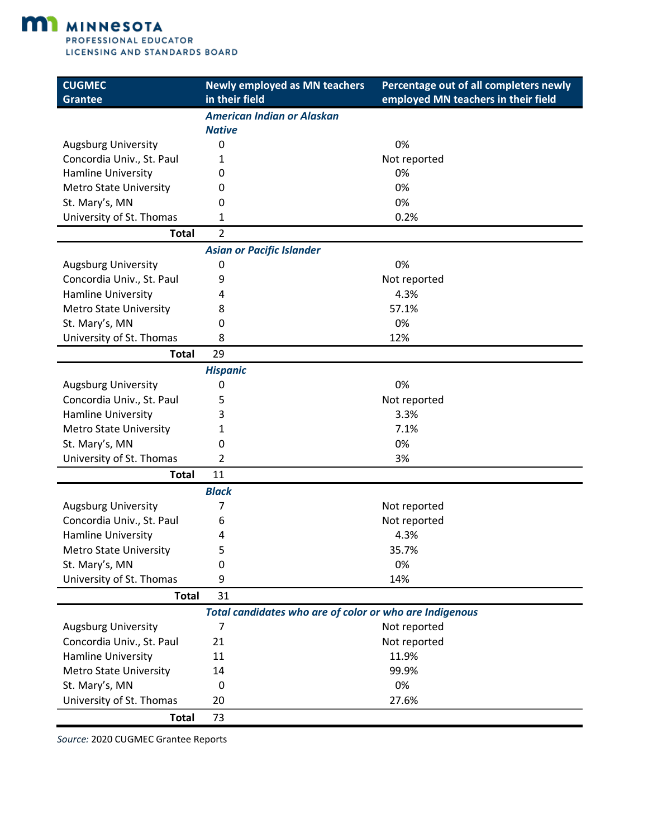

| <b>CUGMEC</b><br><b>Grantee</b> | <b>Newly employed as MN teachers</b><br>in their field  | Percentage out of all completers newly<br>employed MN teachers in their field |
|---------------------------------|---------------------------------------------------------|-------------------------------------------------------------------------------|
|                                 | <b>American Indian or Alaskan</b>                       |                                                                               |
|                                 | <b>Native</b>                                           |                                                                               |
| <b>Augsburg University</b>      | 0                                                       | 0%                                                                            |
| Concordia Univ., St. Paul       | 1                                                       | Not reported                                                                  |
| Hamline University              | 0                                                       | 0%                                                                            |
| <b>Metro State University</b>   | 0                                                       | 0%                                                                            |
| St. Mary's, MN                  | 0                                                       | 0%                                                                            |
| University of St. Thomas        | 1                                                       | 0.2%                                                                          |
| <b>Total</b>                    | $\overline{2}$                                          |                                                                               |
|                                 | <b>Asian or Pacific Islander</b>                        |                                                                               |
| <b>Augsburg University</b>      | 0                                                       | 0%                                                                            |
| Concordia Univ., St. Paul       | 9                                                       | Not reported                                                                  |
| Hamline University              | 4                                                       | 4.3%                                                                          |
| <b>Metro State University</b>   | 8                                                       | 57.1%                                                                         |
| St. Mary's, MN                  | 0                                                       | 0%                                                                            |
| University of St. Thomas        | 8                                                       | 12%                                                                           |
| <b>Total</b>                    | 29                                                      |                                                                               |
|                                 | <b>Hispanic</b>                                         |                                                                               |
| <b>Augsburg University</b>      | 0                                                       | 0%                                                                            |
| Concordia Univ., St. Paul       | 5                                                       | Not reported                                                                  |
| Hamline University              | 3                                                       | 3.3%                                                                          |
| <b>Metro State University</b>   | 1                                                       | 7.1%                                                                          |
| St. Mary's, MN                  | 0                                                       | 0%                                                                            |
| University of St. Thomas        | 2                                                       | 3%                                                                            |
| <b>Total</b>                    | 11                                                      |                                                                               |
|                                 | <b>Black</b>                                            |                                                                               |
| <b>Augsburg University</b>      | 7                                                       | Not reported                                                                  |
| Concordia Univ., St. Paul       | 6                                                       | Not reported                                                                  |
| Hamline University              | 4                                                       | 4.3%                                                                          |
| <b>Metro State University</b>   | 5                                                       | 35.7%                                                                         |
| St. Mary's, MN                  | 0                                                       | 0%                                                                            |
| University of St. Thomas        | 9                                                       | 14%                                                                           |
| <b>Total</b>                    | 31                                                      |                                                                               |
|                                 | Total candidates who are of color or who are Indigenous |                                                                               |
| <b>Augsburg University</b>      | 7                                                       | Not reported                                                                  |
| Concordia Univ., St. Paul       | 21                                                      | Not reported                                                                  |
| Hamline University              | 11                                                      | 11.9%                                                                         |
| <b>Metro State University</b>   | 14                                                      | 99.9%                                                                         |
| St. Mary's, MN                  | 0                                                       | 0%                                                                            |
| University of St. Thomas        | 20                                                      | 27.6%                                                                         |
| <b>Total</b>                    | 73                                                      |                                                                               |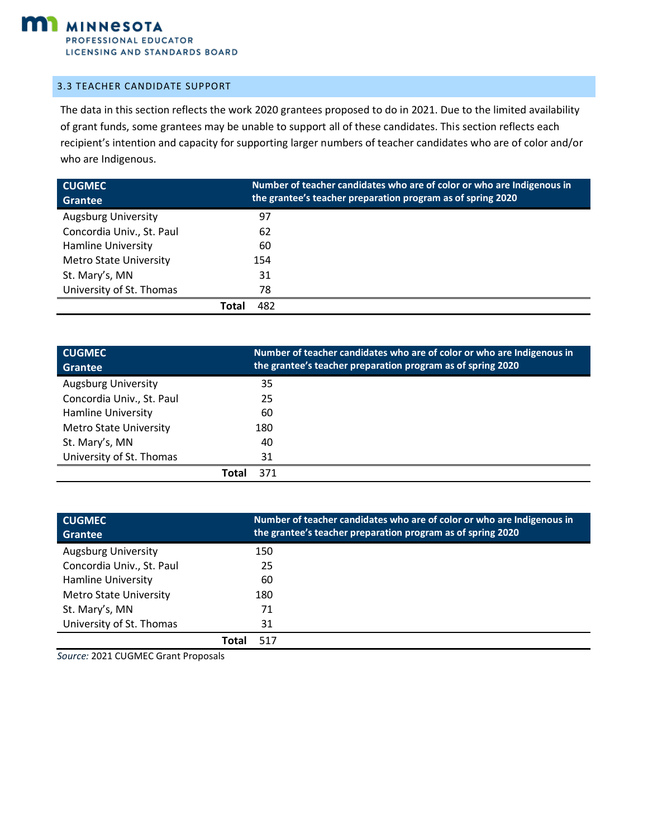

#### <span id="page-13-0"></span>3.3 TEACHER CANDIDATE SUPPORT

The data in this section reflects the work 2020 grantees proposed to do in 2021. Due to the limited availability of grant funds, some grantees may be unable to support all of these candidates. This section reflects each recipient's intention and capacity for supporting larger numbers of teacher candidates who are of color and/or who are Indigenous.

| <b>CUGMEC</b>                 | Number of teacher candidates who are of color or who are Indigenous in |
|-------------------------------|------------------------------------------------------------------------|
| <b>Grantee</b>                | the grantee's teacher preparation program as of spring 2020            |
| <b>Augsburg University</b>    | 97                                                                     |
| Concordia Univ., St. Paul     | 62                                                                     |
| <b>Hamline University</b>     | 60                                                                     |
| <b>Metro State University</b> | 154                                                                    |
| St. Mary's, MN                | 31                                                                     |
| University of St. Thomas      | 78                                                                     |
|                               | 482<br>Total                                                           |

| <b>CUGMEC</b><br><b>Grantee</b> | Number of teacher candidates who are of color or who are Indigenous in<br>the grantee's teacher preparation program as of spring 2020 |
|---------------------------------|---------------------------------------------------------------------------------------------------------------------------------------|
| <b>Augsburg University</b>      | 35                                                                                                                                    |
| Concordia Univ., St. Paul       | 25                                                                                                                                    |
| <b>Hamline University</b>       | 60                                                                                                                                    |
| <b>Metro State University</b>   | 180                                                                                                                                   |
| St. Mary's, MN                  | 40                                                                                                                                    |
| University of St. Thomas        | 31                                                                                                                                    |
|                                 | 371<br>Total                                                                                                                          |

| <b>CUGMEC</b><br>Grantee      | Number of teacher candidates who are of color or who are Indigenous in<br>the grantee's teacher preparation program as of spring 2020 |
|-------------------------------|---------------------------------------------------------------------------------------------------------------------------------------|
| <b>Augsburg University</b>    | 150                                                                                                                                   |
| Concordia Univ., St. Paul     | 25                                                                                                                                    |
| <b>Hamline University</b>     | 60                                                                                                                                    |
| <b>Metro State University</b> | 180                                                                                                                                   |
| St. Mary's, MN                | 71                                                                                                                                    |
| University of St. Thomas      | 31                                                                                                                                    |
|                               | Tota<br>517                                                                                                                           |

*Source:* 2021 CUGMEC Grant Proposals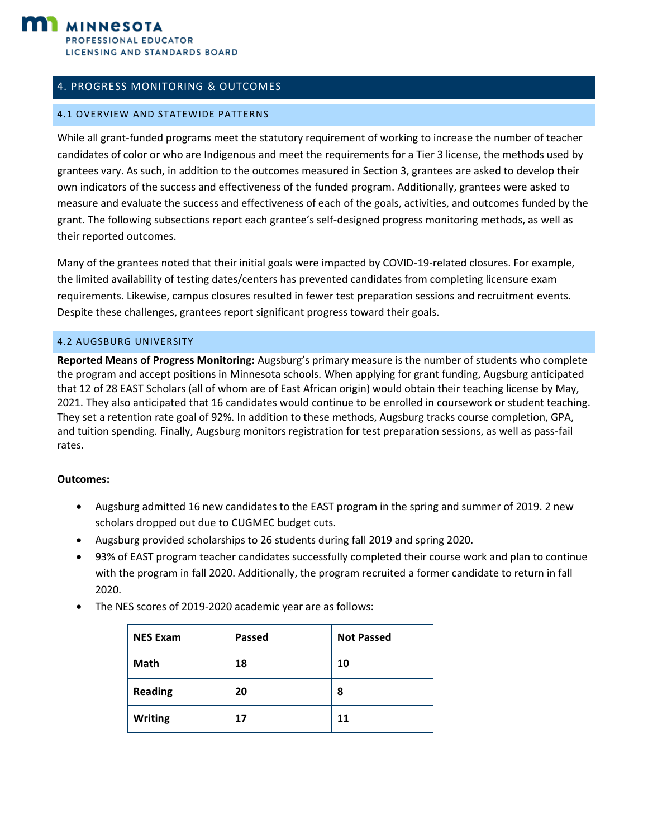

# <span id="page-14-0"></span>4. PROGRESS MONITORING & OUTCOMES

#### <span id="page-14-1"></span>4.1 OVERVIEW AND STATEWIDE PATTERNS

While all grant-funded programs meet the statutory requirement of working to increase the number of teacher candidates of color or who are Indigenous and meet the requirements for a Tier 3 license, the methods used by grantees vary. As such, in addition to the outcomes measured in Section 3, grantees are asked to develop their own indicators of the success and effectiveness of the funded program. Additionally, grantees were asked to measure and evaluate the success and effectiveness of each of the goals, activities, and outcomes funded by the grant. The following subsections report each grantee's self-designed progress monitoring methods, as well as their reported outcomes.

Many of the grantees noted that their initial goals were impacted by COVID-19-related closures. For example, the limited availability of testing dates/centers has prevented candidates from completing licensure exam requirements. Likewise, campus closures resulted in fewer test preparation sessions and recruitment events. Despite these challenges, grantees report significant progress toward their goals.

#### <span id="page-14-2"></span>4.2 AUGSBURG UNIVERSITY

**Reported Means of Progress Monitoring:** Augsburg's primary measure is the number of students who complete the program and accept positions in Minnesota schools. When applying for grant funding, Augsburg anticipated that 12 of 28 EAST Scholars (all of whom are of East African origin) would obtain their teaching license by May, 2021. They also anticipated that 16 candidates would continue to be enrolled in coursework or student teaching. They set a retention rate goal of 92%. In addition to these methods, Augsburg tracks course completion, GPA, and tuition spending. Finally, Augsburg monitors registration for test preparation sessions, as well as pass-fail rates.

- Augsburg admitted 16 new candidates to the EAST program in the spring and summer of 2019. 2 new scholars dropped out due to CUGMEC budget cuts.
- Augsburg provided scholarships to 26 students during fall 2019 and spring 2020.
- 93% of EAST program teacher candidates successfully completed their course work and plan to continue with the program in fall 2020. Additionally, the program recruited a former candidate to return in fall 2020.
- The NES scores of 2019-2020 academic year are as follows:

| <b>NES Exam</b> | Passed | <b>Not Passed</b> |
|-----------------|--------|-------------------|
| <b>Math</b>     | 18     | 10                |
| <b>Reading</b>  | 20     | 8                 |
| <b>Writing</b>  | 17     | 11                |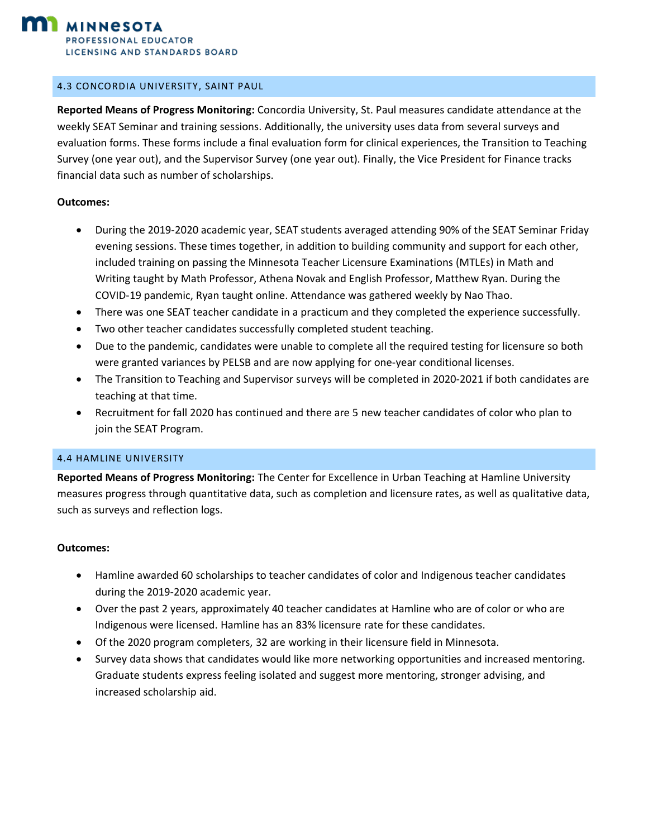

#### <span id="page-15-0"></span>4.3 CONCORDIA UNIVERSITY, SAINT PAUL

**Reported Means of Progress Monitoring:** Concordia University, St. Paul measures candidate attendance at the weekly SEAT Seminar and training sessions. Additionally, the university uses data from several surveys and evaluation forms. These forms include a final evaluation form for clinical experiences, the Transition to Teaching Survey (one year out), and the Supervisor Survey (one year out). Finally, the Vice President for Finance tracks financial data such as number of scholarships.

#### **Outcomes:**

- During the 2019-2020 academic year, SEAT students averaged attending 90% of the SEAT Seminar Friday evening sessions. These times together, in addition to building community and support for each other, included training on passing the Minnesota Teacher Licensure Examinations (MTLEs) in Math and Writing taught by Math Professor, Athena Novak and English Professor, Matthew Ryan. During the COVID-19 pandemic, Ryan taught online. Attendance was gathered weekly by Nao Thao.
- There was one SEAT teacher candidate in a practicum and they completed the experience successfully.
- Two other teacher candidates successfully completed student teaching.
- Due to the pandemic, candidates were unable to complete all the required testing for licensure so both were granted variances by PELSB and are now applying for one-year conditional licenses.
- The Transition to Teaching and Supervisor surveys will be completed in 2020-2021 if both candidates are teaching at that time.
- Recruitment for fall 2020 has continued and there are 5 new teacher candidates of color who plan to join the SEAT Program.

#### <span id="page-15-1"></span>4.4 HAMLINE UNIVERSITY

**Reported Means of Progress Monitoring:** The Center for Excellence in Urban Teaching at Hamline University measures progress through quantitative data, such as completion and licensure rates, as well as qualitative data, such as surveys and reflection logs.

- Hamline awarded 60 scholarships to teacher candidates of color and Indigenous teacher candidates during the 2019-2020 academic year.
- Over the past 2 years, approximately 40 teacher candidates at Hamline who are of color or who are Indigenous were licensed. Hamline has an 83% licensure rate for these candidates.
- Of the 2020 program completers, 32 are working in their licensure field in Minnesota.
- Survey data shows that candidates would like more networking opportunities and increased mentoring. Graduate students express feeling isolated and suggest more mentoring, stronger advising, and increased scholarship aid.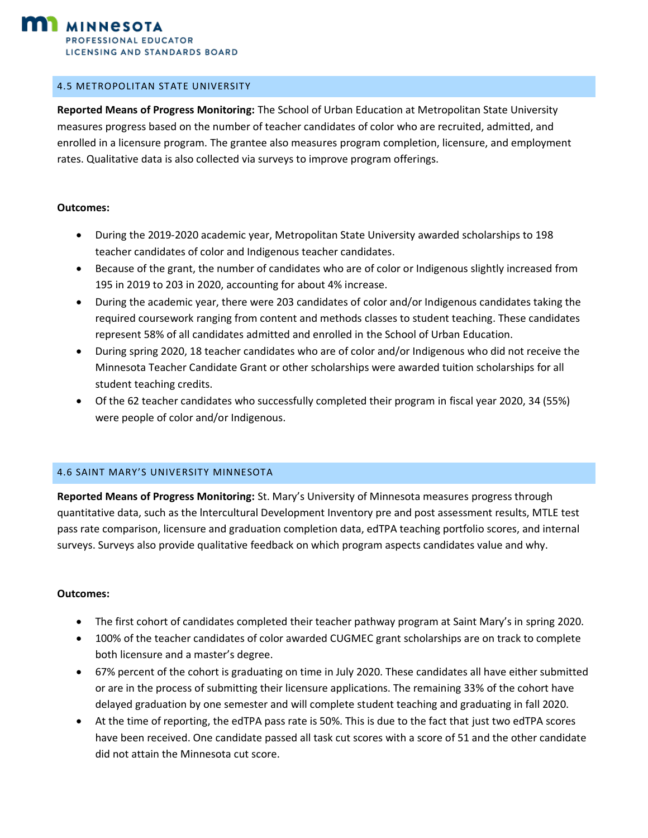

#### <span id="page-16-0"></span>4.5 METROPOLITAN STATE UNIVERSITY

**Reported Means of Progress Monitoring:** The School of Urban Education at Metropolitan State University measures progress based on the number of teacher candidates of color who are recruited, admitted, and enrolled in a licensure program. The grantee also measures program completion, licensure, and employment rates. Qualitative data is also collected via surveys to improve program offerings.

#### **Outcomes:**

- During the 2019-2020 academic year, Metropolitan State University awarded scholarships to 198 teacher candidates of color and Indigenous teacher candidates.
- Because of the grant, the number of candidates who are of color or Indigenous slightly increased from 195 in 2019 to 203 in 2020, accounting for about 4% increase.
- During the academic year, there were 203 candidates of color and/or Indigenous candidates taking the required coursework ranging from content and methods classes to student teaching. These candidates represent 58% of all candidates admitted and enrolled in the School of Urban Education.
- During spring 2020, 18 teacher candidates who are of color and/or Indigenous who did not receive the Minnesota Teacher Candidate Grant or other scholarships were awarded tuition scholarships for all student teaching credits.
- Of the 62 teacher candidates who successfully completed their program in fiscal year 2020, 34 (55%) were people of color and/or Indigenous.

#### <span id="page-16-1"></span>4.6 SAINT MARY'S UNIVERSITY MINNESOTA

**Reported Means of Progress Monitoring:** St. Mary's University of Minnesota measures progress through quantitative data, such as the lntercultural Development Inventory pre and post assessment results, MTLE test pass rate comparison, licensure and graduation completion data, edTPA teaching portfolio scores, and internal surveys. Surveys also provide qualitative feedback on which program aspects candidates value and why.

- The first cohort of candidates completed their teacher pathway program at Saint Mary's in spring 2020.
- 100% of the teacher candidates of color awarded CUGMEC grant scholarships are on track to complete both licensure and a master's degree.
- 67% percent of the cohort is graduating on time in July 2020. These candidates all have either submitted or are in the process of submitting their licensure applications. The remaining 33% of the cohort have delayed graduation by one semester and will complete student teaching and graduating in fall 2020.
- At the time of reporting, the edTPA pass rate is 50%. This is due to the fact that just two edTPA scores have been received. One candidate passed all task cut scores with a score of 51 and the other candidate did not attain the Minnesota cut score.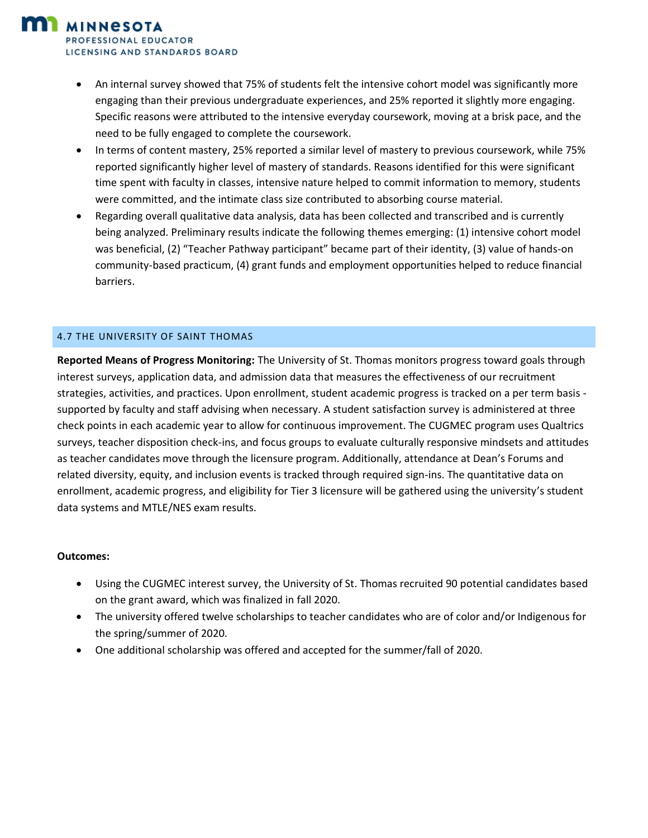*PROFESSIONAL EDUCATOR* LICENSING AND STANDARDS BOARD

**MINNESOTA** 

- An internal survey showed that 75% of students felt the intensive cohort model was significantly more engaging than their previous undergraduate experiences, and 25% reported it slightly more engaging. Specific reasons were attributed to the intensive everyday coursework, moving at a brisk pace, and the need to be fully engaged to complete the coursework.
- In terms of content mastery, 25% reported a similar level of mastery to previous coursework, while 75% reported significantly higher level of mastery of standards. Reasons identified for this were significant time spent with faculty in classes, intensive nature helped to commit information to memory, students were committed, and the intimate class size contributed to absorbing course material.
- Regarding overall qualitative data analysis, data has been collected and transcribed and is currently being analyzed. Preliminary results indicate the following themes emerging: (1) intensive cohort model was beneficial, (2) "Teacher Pathway participant" became part of their identity, (3) value of hands-on community-based practicum, (4) grant funds and employment opportunities helped to reduce financial barriers.

#### <span id="page-17-0"></span>4.7 THE UNIVERSITY OF SAINT THOMAS

**Reported Means of Progress Monitoring:** The University of St. Thomas monitors progress toward goals through interest surveys, application data, and admission data that measures the effectiveness of our recruitment strategies, activities, and practices. Upon enrollment, student academic progress is tracked on a per term basis supported by faculty and staff advising when necessary. A student satisfaction survey is administered at three check points in each academic year to allow for continuous improvement. The CUGMEC program uses Qualtrics surveys, teacher disposition check-ins, and focus groups to evaluate culturally responsive mindsets and attitudes as teacher candidates move through the licensure program. Additionally, attendance at Dean's Forums and related diversity, equity, and inclusion events is tracked through required sign-ins. The quantitative data on enrollment, academic progress, and eligibility for Tier 3 licensure will be gathered using the university's student data systems and MTLE/NES exam results.

- Using the CUGMEC interest survey, the University of St. Thomas recruited 90 potential candidates based on the grant award, which was finalized in fall 2020.
- The university offered twelve scholarships to teacher candidates who are of color and/or Indigenous for the spring/summer of 2020.
- One additional scholarship was offered and accepted for the summer/fall of 2020.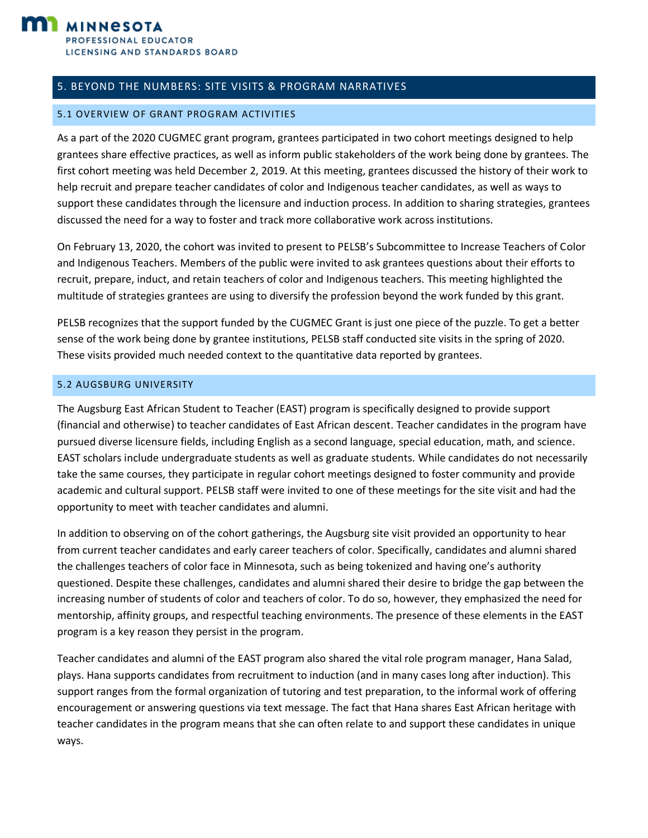

## <span id="page-18-0"></span>5. BEYOND THE NUMBERS: SITE VISITS & PROGRAM NARRATIVES

#### <span id="page-18-1"></span>5.1 OVERVIEW OF GRANT PROGRAM ACTIVITIES

As a part of the 2020 CUGMEC grant program, grantees participated in two cohort meetings designed to help grantees share effective practices, as well as inform public stakeholders of the work being done by grantees. The first cohort meeting was held December 2, 2019. At this meeting, grantees discussed the history of their work to help recruit and prepare teacher candidates of color and Indigenous teacher candidates, as well as ways to support these candidates through the licensure and induction process. In addition to sharing strategies, grantees discussed the need for a way to foster and track more collaborative work across institutions.

On February 13, 2020, the cohort was invited to present to PELSB's Subcommittee to Increase Teachers of Color and Indigenous Teachers. Members of the public were invited to ask grantees questions about their efforts to recruit, prepare, induct, and retain teachers of color and Indigenous teachers. This meeting highlighted the multitude of strategies grantees are using to diversify the profession beyond the work funded by this grant.

PELSB recognizes that the support funded by the CUGMEC Grant is just one piece of the puzzle. To get a better sense of the work being done by grantee institutions, PELSB staff conducted site visits in the spring of 2020. These visits provided much needed context to the quantitative data reported by grantees.

#### <span id="page-18-2"></span>5.2 AUGSBURG UNIVERSITY

The Augsburg East African Student to Teacher (EAST) program is specifically designed to provide support (financial and otherwise) to teacher candidates of East African descent. Teacher candidates in the program have pursued diverse licensure fields, including English as a second language, special education, math, and science. EAST scholars include undergraduate students as well as graduate students. While candidates do not necessarily take the same courses, they participate in regular cohort meetings designed to foster community and provide academic and cultural support. PELSB staff were invited to one of these meetings for the site visit and had the opportunity to meet with teacher candidates and alumni.

In addition to observing on of the cohort gatherings, the Augsburg site visit provided an opportunity to hear from current teacher candidates and early career teachers of color. Specifically, candidates and alumni shared the challenges teachers of color face in Minnesota, such as being tokenized and having one's authority questioned. Despite these challenges, candidates and alumni shared their desire to bridge the gap between the increasing number of students of color and teachers of color. To do so, however, they emphasized the need for mentorship, affinity groups, and respectful teaching environments. The presence of these elements in the EAST program is a key reason they persist in the program.

Teacher candidates and alumni of the EAST program also shared the vital role program manager, Hana Salad, plays. Hana supports candidates from recruitment to induction (and in many cases long after induction). This support ranges from the formal organization of tutoring and test preparation, to the informal work of offering encouragement or answering questions via text message. The fact that Hana shares East African heritage with teacher candidates in the program means that she can often relate to and support these candidates in unique ways.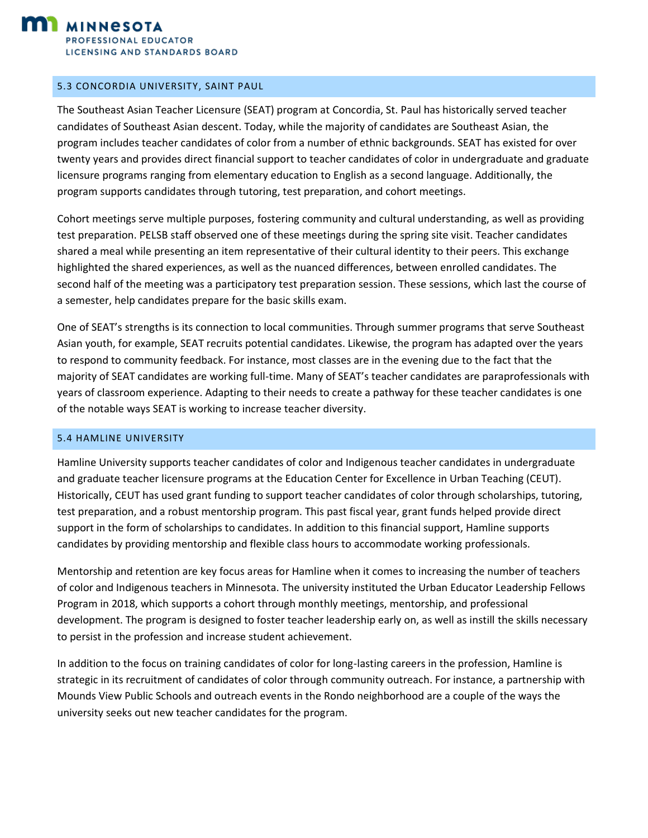

#### <span id="page-19-0"></span>5.3 CONCORDIA UNIVERSITY, SAINT PAUL

The Southeast Asian Teacher Licensure (SEAT) program at Concordia, St. Paul has historically served teacher candidates of Southeast Asian descent. Today, while the majority of candidates are Southeast Asian, the program includes teacher candidates of color from a number of ethnic backgrounds. SEAT has existed for over twenty years and provides direct financial support to teacher candidates of color in undergraduate and graduate licensure programs ranging from elementary education to English as a second language. Additionally, the program supports candidates through tutoring, test preparation, and cohort meetings.

Cohort meetings serve multiple purposes, fostering community and cultural understanding, as well as providing test preparation. PELSB staff observed one of these meetings during the spring site visit. Teacher candidates shared a meal while presenting an item representative of their cultural identity to their peers. This exchange highlighted the shared experiences, as well as the nuanced differences, between enrolled candidates. The second half of the meeting was a participatory test preparation session. These sessions, which last the course of a semester, help candidates prepare for the basic skills exam.

One of SEAT's strengths is its connection to local communities. Through summer programs that serve Southeast Asian youth, for example, SEAT recruits potential candidates. Likewise, the program has adapted over the years to respond to community feedback. For instance, most classes are in the evening due to the fact that the majority of SEAT candidates are working full-time. Many of SEAT's teacher candidates are paraprofessionals with years of classroom experience. Adapting to their needs to create a pathway for these teacher candidates is one of the notable ways SEAT is working to increase teacher diversity.

#### <span id="page-19-1"></span>5.4 HAMLINE UNIVERSITY

Hamline University supports teacher candidates of color and Indigenous teacher candidates in undergraduate and graduate teacher licensure programs at the Education Center for Excellence in Urban Teaching (CEUT). Historically, CEUT has used grant funding to support teacher candidates of color through scholarships, tutoring, test preparation, and a robust mentorship program. This past fiscal year, grant funds helped provide direct support in the form of scholarships to candidates. In addition to this financial support, Hamline supports candidates by providing mentorship and flexible class hours to accommodate working professionals.

Mentorship and retention are key focus areas for Hamline when it comes to increasing the number of teachers of color and Indigenous teachers in Minnesota. The university instituted the Urban Educator Leadership Fellows Program in 2018, which supports a cohort through monthly meetings, mentorship, and professional development. The program is designed to foster teacher leadership early on, as well as instill the skills necessary to persist in the profession and increase student achievement.

In addition to the focus on training candidates of color for long-lasting careers in the profession, Hamline is strategic in its recruitment of candidates of color through community outreach. For instance, a partnership with Mounds View Public Schools and outreach events in the Rondo neighborhood are a couple of the ways the university seeks out new teacher candidates for the program.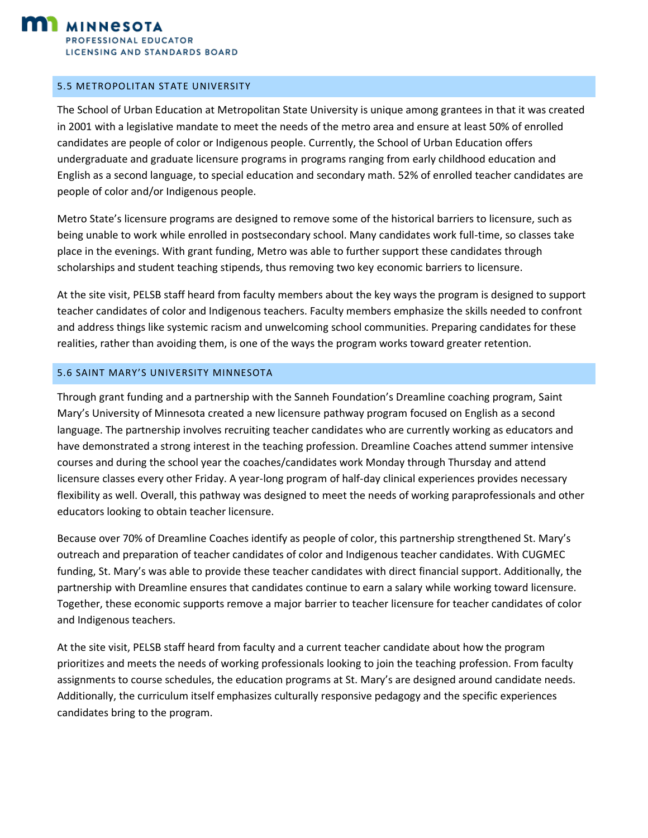

#### <span id="page-20-0"></span>5.5 METROPOLITAN STATE UNIVERSITY

The School of Urban Education at Metropolitan State University is unique among grantees in that it was created in 2001 with a legislative mandate to meet the needs of the metro area and ensure at least 50% of enrolled candidates are people of color or Indigenous people. Currently, the School of Urban Education offers undergraduate and graduate licensure programs in programs ranging from early childhood education and English as a second language, to special education and secondary math. 52% of enrolled teacher candidates are people of color and/or Indigenous people.

Metro State's licensure programs are designed to remove some of the historical barriers to licensure, such as being unable to work while enrolled in postsecondary school. Many candidates work full-time, so classes take place in the evenings. With grant funding, Metro was able to further support these candidates through scholarships and student teaching stipends, thus removing two key economic barriers to licensure.

At the site visit, PELSB staff heard from faculty members about the key ways the program is designed to support teacher candidates of color and Indigenous teachers. Faculty members emphasize the skills needed to confront and address things like systemic racism and unwelcoming school communities. Preparing candidates for these realities, rather than avoiding them, is one of the ways the program works toward greater retention.

#### <span id="page-20-1"></span>5.6 SAINT MARY'S UNIVERSITY MINNESOTA

Through grant funding and a partnership with the Sanneh Foundation's Dreamline coaching program, Saint Mary's University of Minnesota created a new licensure pathway program focused on English as a second language. The partnership involves recruiting teacher candidates who are currently working as educators and have demonstrated a strong interest in the teaching profession. Dreamline Coaches attend summer intensive courses and during the school year the coaches/candidates work Monday through Thursday and attend licensure classes every other Friday. A year-long program of half-day clinical experiences provides necessary flexibility as well. Overall, this pathway was designed to meet the needs of working paraprofessionals and other educators looking to obtain teacher licensure.

Because over 70% of Dreamline Coaches identify as people of color, this partnership strengthened St. Mary's outreach and preparation of teacher candidates of color and Indigenous teacher candidates. With CUGMEC funding, St. Mary's was able to provide these teacher candidates with direct financial support. Additionally, the partnership with Dreamline ensures that candidates continue to earn a salary while working toward licensure. Together, these economic supports remove a major barrier to teacher licensure for teacher candidates of color and Indigenous teachers.

At the site visit, PELSB staff heard from faculty and a current teacher candidate about how the program prioritizes and meets the needs of working professionals looking to join the teaching profession. From faculty assignments to course schedules, the education programs at St. Mary's are designed around candidate needs. Additionally, the curriculum itself emphasizes culturally responsive pedagogy and the specific experiences candidates bring to the program.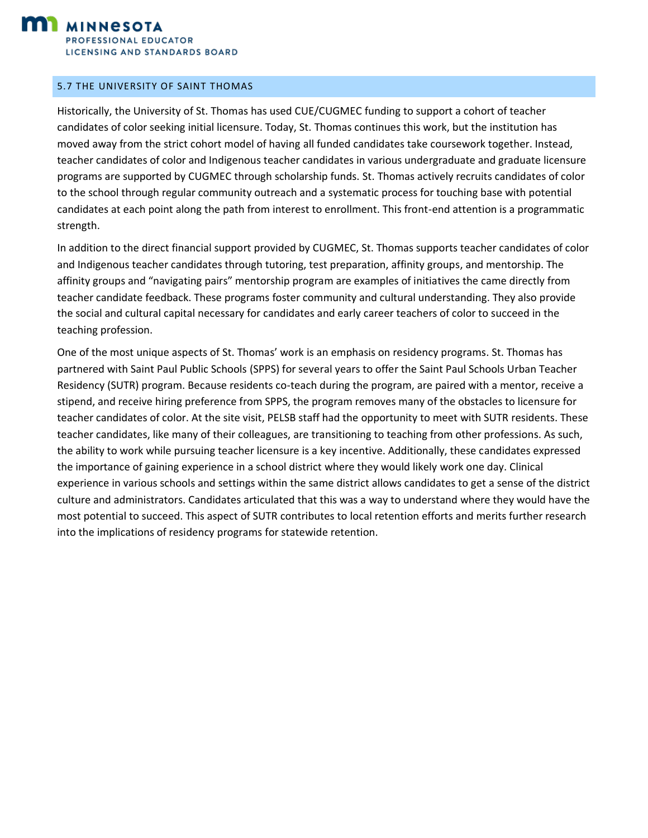

#### <span id="page-21-0"></span>5.7 THE UNIVERSITY OF SAINT THOMAS

Historically, the University of St. Thomas has used CUE/CUGMEC funding to support a cohort of teacher candidates of color seeking initial licensure. Today, St. Thomas continues this work, but the institution has moved away from the strict cohort model of having all funded candidates take coursework together. Instead, teacher candidates of color and Indigenous teacher candidates in various undergraduate and graduate licensure programs are supported by CUGMEC through scholarship funds. St. Thomas actively recruits candidates of color to the school through regular community outreach and a systematic process for touching base with potential candidates at each point along the path from interest to enrollment. This front-end attention is a programmatic strength.

In addition to the direct financial support provided by CUGMEC, St. Thomas supports teacher candidates of color and Indigenous teacher candidates through tutoring, test preparation, affinity groups, and mentorship. The affinity groups and "navigating pairs" mentorship program are examples of initiatives the came directly from teacher candidate feedback. These programs foster community and cultural understanding. They also provide the social and cultural capital necessary for candidates and early career teachers of color to succeed in the teaching profession.

One of the most unique aspects of St. Thomas' work is an emphasis on residency programs. St. Thomas has partnered with Saint Paul Public Schools (SPPS) for several years to offer the Saint Paul Schools Urban Teacher Residency (SUTR) program. Because residents co-teach during the program, are paired with a mentor, receive a stipend, and receive hiring preference from SPPS, the program removes many of the obstacles to licensure for teacher candidates of color. At the site visit, PELSB staff had the opportunity to meet with SUTR residents. These teacher candidates, like many of their colleagues, are transitioning to teaching from other professions. As such, the ability to work while pursuing teacher licensure is a key incentive. Additionally, these candidates expressed the importance of gaining experience in a school district where they would likely work one day. Clinical experience in various schools and settings within the same district allows candidates to get a sense of the district culture and administrators. Candidates articulated that this was a way to understand where they would have the most potential to succeed. This aspect of SUTR contributes to local retention efforts and merits further research into the implications of residency programs for statewide retention.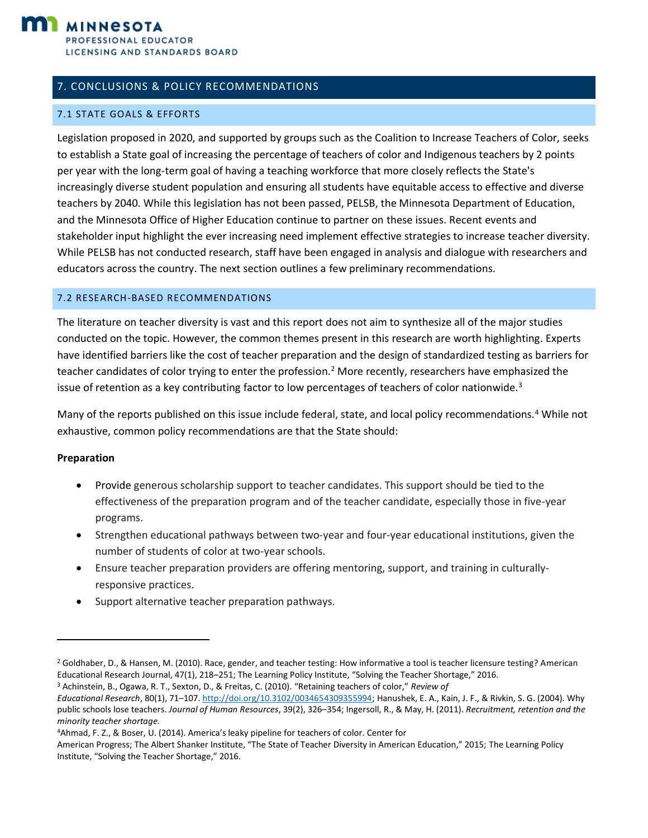

# <span id="page-22-0"></span>7. CONCLUSIONS & POLICY RECOMMENDATIONS

#### <span id="page-22-1"></span>7.1 STATE GOALS & EFFORTS

Legislation proposed in 2020, and supported by groups such as the Coalition to Increase Teachers of Color, seeks to establish a State goal of increasing the percentage of teachers of color and Indigenous teachers by 2 points per year with the long-term goal of having a teaching workforce that more closely reflects the State's increasingly diverse student population and ensuring all students have equitable access to effective and diverse teachers by 2040. While this legislation has not been passed, PELSB, the Minnesota Department of Education, and the Minnesota Office of Higher Education continue to partner on these issues. Recent events and stakeholder input highlight the ever increasing need implement effective strategies to increase teacher diversity. While PELSB has not conducted research, staff have been engaged in analysis and dialogue with researchers and educators across the country. The next section outlines a few preliminary recommendations.

#### <span id="page-22-2"></span>7.2 RESEARCH-BASED RECOMMENDATIONS

The literature on teacher diversity is vast and this report does not aim to synthesize all of the major studies conducted on the topic. However, the common themes present in this research are worth highlighting. Experts have identified barriers like the cost of teacher preparation and the design of standardized testing as barriers for teacher candidates of color trying to enter the profession.<sup>2</sup> More recently, researchers have emphasized the issue of retention as a key contributing factor to low percentages of teachers of color nationwide.<sup>3</sup>

Many of the reports published on this issue include federal, state, and local policy recommendations.<sup>4</sup> While not exhaustive, common policy recommendations are that the State should:

#### **Preparation**

- Provide generous scholarship support to teacher candidates. This support should be tied to the effectiveness of the preparation program and of the teacher candidate, especially those in five-year programs.
- Strengthen educational pathways between two-year and four-year educational institutions, given the number of students of color at two-year schools.
- Ensure teacher preparation providers are offering mentoring, support, and training in culturallyresponsive practices.
- Support alternative teacher preparation pathways.

<sup>3</sup> Achinstein, B., Ogawa, R. T., Sexton, D., & Freitas, C. (2010). "Retaining teachers of color," *Review of Educational Research*, 80(1), 71–107[. http://doi.org/10.3102/0034654309355994;](https://journals.sagepub.com/doi/10.3102/0034654309355994) Hanushek, E. A., Kain, J. F., & Rivkin, S. G. (2004). Why public schools lose teachers. *Journal of Human Resources*, 39(2), 326–354; Ingersoll, R., & May, H. (2011). *Recruitment, retention and the minority teacher shortage.*

American Progress; The Albert Shanker Institute, "The State of Teacher Diversity in American Education," 2015; The Learning Policy Institute, "Solving the Teacher Shortage," 2016.

<sup>2</sup> Goldhaber, D., & Hansen, M. (2010). Race, gender, and teacher testing: How informative a tool is teacher licensure testing? American Educational Research Journal, 47(1), 218–251; The Learning Policy Institute, "Solving the Teacher Shortage," 2016.

<sup>4</sup>Ahmad, F. Z., & Boser, U. (2014). America's leaky pipeline for teachers of color. Center for